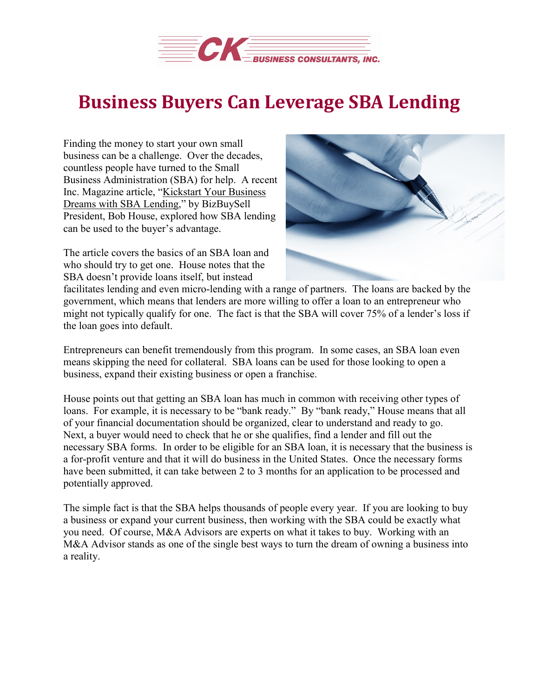

## **Business Buyers Can Leverage SBA Lending**

Finding the money to start your own small business can be a challenge. Over the decades, countless people have turned to the Small Business Administration (SBA) for help. A recent Inc. Magazine article, ["Kickstart](https://www.inc.com/bob-house/kickstart-your-business-dreams-with-sba-lending.html) Your Business Dreams with SBA [Lending,](https://www.inc.com/bob-house/kickstart-your-business-dreams-with-sba-lending.html)" by BizBuySell President, Bob House, explored how SBA lending can be used to the buyer's advantage.

The article covers the basics of an SBA loan and who should try to get one. House notes that the SBA doesn't provide loans itself, but instead



facilitates lending and even micro-lending with a range of partners. The loans are backed by the government, which means that lenders are more willing to offer a loan to an entrepreneur who might not typically qualify for one. The fact is that the SBA will cover 75% of a lender's loss if the loan goes into default.

Entrepreneurs can benefit tremendously from this program. In some cases, an SBA loan even means skipping the need for collateral. SBA loans can be used for those looking to open a business, expand their existing business or open a franchise.

House points out that getting an SBA loan has much in common with receiving other types of loans. For example, it is necessary to be "bank ready." By "bank ready," House means that all of your financial documentation should be organized, clear to understand and ready to go. Next, a buyer would need to check that he or she qualifies, find a lender and fill out the necessary SBA forms. In order to be eligible for an SBA loan, it is necessary that the business is a for-profit venture and that it will do business in the United States. Once the necessary forms have been submitted, it can take between 2 to 3 months for an application to be processed and potentially approved.

The simple fact is that the SBA helps thousands of people every year. If you are looking to buy a business or expand your current business, then working with the SBA could be exactly what you need. Of course, M&A Advisors are experts on what it takes to buy. Working with an M&A Advisor stands as one of the single best ways to turn the dream of owning a business into a reality.